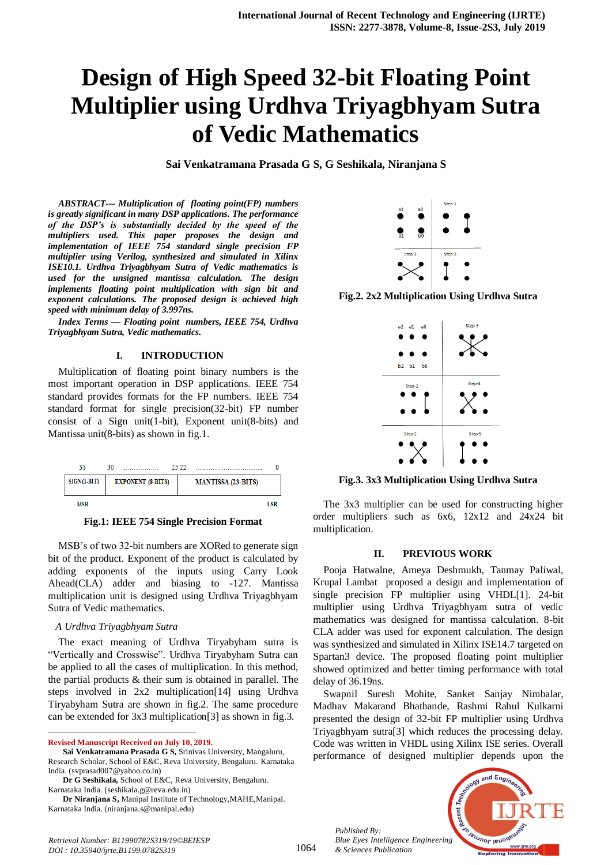# **Design of High Speed 32-bit Floating Point Multiplier using Urdhva Triyagbhyam Sutra of Vedic Mathematics**

**Sai Venkatramana Prasada G S, G Seshikala, Niranjana S**

*ABSTRACT--- Multiplication of floating point(FP) numbers is greatly significant in many DSP applications. The performance of the DSP's is substantially decided by the speed of the multipliers used. This paper proposes the design and implementation of IEEE 754 standard single precision FP multiplier using Verilog, synthesized and simulated in Xilinx ISE10.1. Urdhva Triyagbhyam Sutra of Vedic mathematics is used for the unsigned mantissa calculation. The design implements floating point multiplication with sign bit and exponent calculations. The proposed design is achieved high speed with minimum delay of 3.997ns.*

*Index Terms — Floating point numbers, IEEE 754, Urdhva Triyagbhyam Sutra, Vedic mathematics.*

### **I. INTRODUCTION**

Multiplication of floating point binary numbers is the most important operation in DSP applications. IEEE 754 standard provides formats for the FP numbers. IEEE 754 standard format for single precision(32-bit) FP number consist of a Sign unit(1-bit), Exponent unit(8-bits) and Mantissa unit(8-bits) as shown in fig.1.



**Fig.1: IEEE 754 Single Precision Format**

MSB's of two 32-bit numbers are XORed to generate sign bit of the product. Exponent of the product is calculated by adding exponents of the inputs using Carry Look Ahead(CLA) adder and biasing to -127. Mantissa multiplication unit is designed using Urdhva Triyagbhyam Sutra of Vedic mathematics.

#### *A Urdhva Triyagbhyam Sutra*

The exact meaning of Urdhva Tiryabyham sutra is "Vertically and Crosswise". Urdhva Tiryabyham Sutra can be applied to all the cases of multiplication. In this method, the partial products & their sum is obtained in parallel. The steps involved in 2x2 multiplication[14] using Urdhva Tiryabyham Sutra are shown in fig.2. The same procedure can be extended for 3x3 multiplication[3] as shown in fig.3.

**Revised Manuscript Received on July 10, 2019.**

 $\overline{a}$ 

Karnataka India. (seshikala.g@reva.edu.in)



**Fig.2. 2x2 Multiplication Using Urdhva Sutra**



**Fig.3. 3x3 Multiplication Using Urdhva Sutra**

The 3x3 multiplier can be used for constructing higher order multipliers such as 6x6, 12x12 and 24x24 bit multiplication.

#### **II. PREVIOUS WORK**

Pooja Hatwalne, Ameya Deshmukh, Tanmay Paliwal, Krupal Lambat proposed a design and implementation of single precision FP multiplier using VHDL[1]. 24-bit multiplier using Urdhva Triyagbhyam sutra of vedic mathematics was designed for mantissa calculation. 8-bit CLA adder was used for exponent calculation. The design was synthesized and simulated in Xilinx ISE14.7 targeted on Spartan3 device. The proposed floating point multiplier showed optimized and better timing performance with total delay of 36.19ns.

Swapnil Suresh Mohite, Sanket Sanjay Nimbalar, Madhav Makarand Bhathande, Rashmi Rahul Kulkarni presented the design of 32-bit FP multiplier using Urdhva Triyagbhyam sutra[3] which reduces the processing delay. Code was written in VHDL using Xilinx ISE series. Overall performance of designed multiplier depends upon the

*Published By: Blue Eyes Intelligence Engineering & Sciences Publication* 



**Sai Venkatramana Prasada G S,** Srinivas University, Mangaluru, Research Scholar, School of E&C, Reva University, Bengaluru. Karnataka India. (svprasad007@yahoo.co.in)

**Dr G Seshikala,** School of E&C, Reva University, Bengaluru.

**Dr Niranjana S,** Manipal Institute of Technology,MAHE,Manipal. Karnataka India. (niranjana.s@manipal.edu)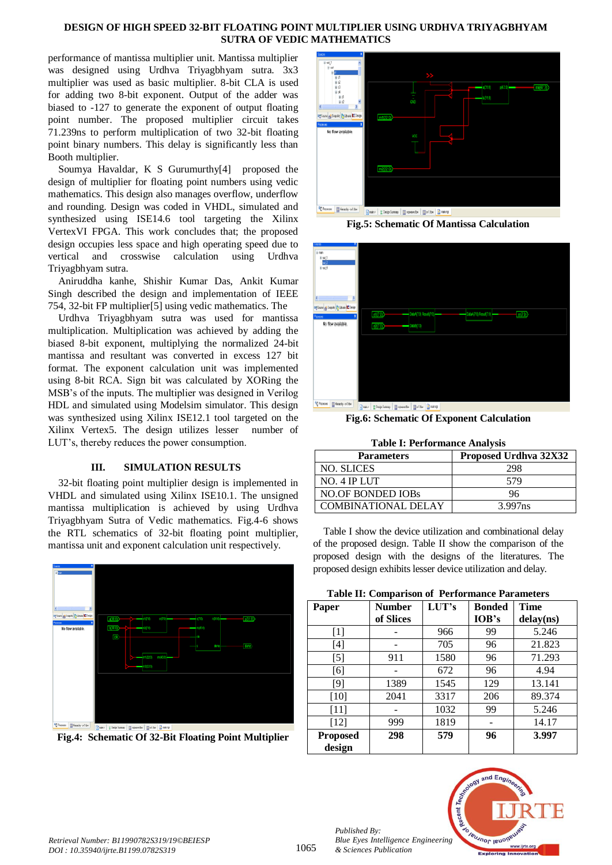## **DESIGN OF HIGH SPEED 32-BIT FLOATING POINT MULTIPLIER USING URDHVA TRIYAGBHYAM SUTRA OF VEDIC MATHEMATICS**

performance of mantissa multiplier unit. Mantissa multiplier was designed using Urdhva Triyagbhyam sutra. 3x3 multiplier was used as basic multiplier. 8-bit CLA is used for adding two 8-bit exponent. Output of the adder was biased to -127 to generate the exponent of output floating point number. The proposed multiplier circuit takes 71.239ns to perform multiplication of two 32-bit floating point binary numbers. This delay is significantly less than Booth multiplier.

Soumya Havaldar, K S Gurumurthy[4] proposed the design of multiplier for floating point numbers using vedic mathematics. This design also manages overflow, underflow and rounding. Design was coded in VHDL, simulated and synthesized using ISE14.6 tool targeting the Xilinx VertexVI FPGA. This work concludes that; the proposed design occupies less space and high operating speed due to vertical and crosswise calculation using Urdhva Triyagbhyam sutra.

Aniruddha kanhe, Shishir Kumar Das, Ankit Kumar Singh described the design and implementation of IEEE 754, 32-bit FP multiplier[5] using vedic mathematics. The

Urdhva Triyagbhyam sutra was used for mantissa multiplication. Multiplication was achieved by adding the biased 8-bit exponent, multiplying the normalized 24-bit mantissa and resultant was converted in excess 127 bit format. The exponent calculation unit was implemented using 8-bit RCA. Sign bit was calculated by XORing the MSB's of the inputs. The multiplier was designed in Verilog HDL and simulated using Modelsim simulator. This design was synthesized using Xilinx ISE12.1 tool targeted on the Xilinx Vertex5. The design utilizes lesser number of LUT's, thereby reduces the power consumption.

## **III. SIMULATION RESULTS**

32-bit floating point multiplier design is implemented in VHDL and simulated using Xilinx ISE10.1. The unsigned mantissa multiplication is achieved by using Urdhva Triyagbhyam Sutra of Vedic mathematics. Fig.4-6 shows the RTL schematics of 32-bit floating point multiplier, mantissa unit and exponent calculation unit respectively.



**Fig.4: Schematic Of 32-Bit Floating Point Multiplier**



**Fig.5: Schematic Of Mantissa Calculation**



**Fig.6: Schematic Of Exponent Calculation**

|  |  |  | <b>Table I: Performance Analysis</b> |  |  |
|--|--|--|--------------------------------------|--|--|
|--|--|--|--------------------------------------|--|--|

| <b>Parameters</b>          | Proposed Urdhva 32X32 |  |  |
|----------------------------|-----------------------|--|--|
| NO. SLICES                 | 298                   |  |  |
| NO. 4 IP LUT               | 579                   |  |  |
| <b>NO.OF BONDED IOBs</b>   | 96                    |  |  |
| <b>COMBINATIONAL DELAY</b> | 3.997ns               |  |  |

Table I show the device utilization and combinational delay of the proposed design. Table II show the comparison of the proposed design with the designs of the literatures. The proposed design exhibits lesser device utilization and delay.

**Table II: Comparison of Performance Parameters**

| Paper           | <b>Number</b> | LUT's | <b>Bonded</b> | <b>Time</b> |
|-----------------|---------------|-------|---------------|-------------|
|                 | of Slices     |       | IOB's         | delay(ns)   |
| $[1]$           |               | 966   | 99            | 5.246       |
| $[4]$           |               | 705   | 96            | 21.823      |
| $[5]$           | 911           | 1580  | 96            | 71.293      |
| [6]             |               | 672   | 96            | 4.94        |
| [9]             | 1389          | 1545  | 129           | 13.141      |
| [10]            | 2041          | 3317  | 206           | 89.374      |
| [11]            |               | 1032  | 99            | 5.246       |
| [12]            | 999           | 1819  |               | 14.17       |
| <b>Proposed</b> | 298           | 579   | 96            | 3.997       |
| design          |               |       |               |             |



*Published By:*

*& Sciences Publication*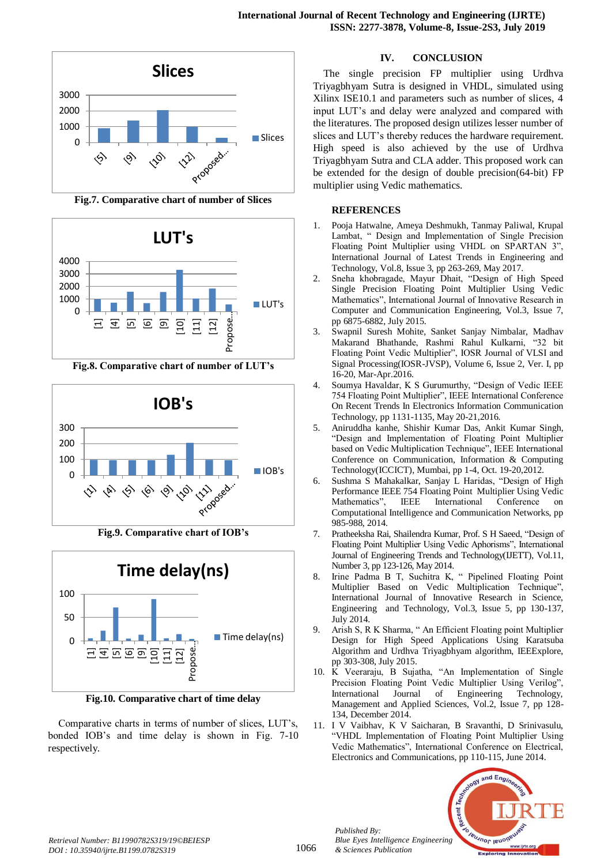

**Fig.7. Comparative chart of number of Slices**



**Fig.8. Comparative chart of number of LUT's**



**Fig.9. Comparative chart of IOB's**



**Fig.10. Comparative chart of time delay**

Comparative charts in terms of number of slices, LUT's, bonded IOB's and time delay is shown in Fig. 7-10 respectively.

# **IV. CONCLUSION**

The single precision FP multiplier using Urdhva Triyagbhyam Sutra is designed in VHDL, simulated using Xilinx ISE10.1 and parameters such as number of slices, 4 input LUT's and delay were analyzed and compared with the literatures. The proposed design utilizes lesser number of slices and LUT's thereby reduces the hardware requirement. High speed is also achieved by the use of Urdhva Triyagbhyam Sutra and CLA adder. This proposed work can be extended for the design of double precision(64-bit) FP multiplier using Vedic mathematics.

## **REFERENCES**

- 1. Pooja Hatwalne, Ameya Deshmukh, Tanmay Paliwal, Krupal Lambat, " Design and Implementation of Single Precision Floating Point Multiplier using VHDL on SPARTAN 3", International Journal of Latest Trends in Engineering and Technology, Vol.8, Issue 3, pp 263-269, May 2017.
- 2. Sneha khobragade, Mayur Dhait, "Design of High Speed Single Precision Floating Point Multiplier Using Vedic Mathematics", International Journal of Innovative Research in Computer and Communication Engineering, Vol.3, Issue 7, pp 6875-6882, July 2015.
- 3. Swapnil Suresh Mohite, Sanket Sanjay Nimbalar, Madhav Makarand Bhathande, Rashmi Rahul Kulkarni, "32 bit Floating Point Vedic Multiplier", IOSR Journal of VLSI and Signal Processing(IOSR-JVSP), Volume 6, Issue 2, Ver. I, pp 16-20, Mar-Apr.2016.
- 4. Soumya Havaldar, K S Gurumurthy, "Design of Vedic IEEE 754 Floating Point Multiplier", IEEE International Conference On Recent Trends In Electronics Information Communication Technology, pp 1131-1135, May 20-21,2016.
- 5. Aniruddha kanhe, Shishir Kumar Das, Ankit Kumar Singh, "Design and Implementation of Floating Point Multiplier based on Vedic Multiplication Technique", IEEE International Conference on Communication, Information & Computing Technology(ICCICT), Mumbai, pp 1-4, Oct. 19-20,2012.
- 6. Sushma S Mahakalkar, Sanjay L Haridas, "Design of High Performance IEEE 754 Floating Point Multiplier Using Vedic Mathematics", IEEE International Conference on Computational Intelligence and Communication Networks, pp 985-988, 2014.
- 7. Pratheeksha Rai, Shailendra Kumar, Prof. S H Saeed, "Design of Floating Point Multiplier Using Vedic Aphorisms", International Journal of Engineering Trends and Technology(IJETT), Vol.11, Number 3, pp 123-126, May 2014.
- 8. Irine Padma B T, Suchitra K, " Pipelined Floating Point Multiplier Based on Vedic Multiplication Technique", International Journal of Innovative Research in Science, Engineering and Technology, Vol.3, Issue 5, pp 130-137, July 2014.
- 9. Arish S, R K Sharma, " An Efficient Floating point Multiplier Design for High Speed Applications Using Karatsuba Algorithm and Urdhva Triyagbhyam algorithm, IEEExplore, pp 303-308, July 2015.
- 10. K Veeraraju, B Sujatha, "An Implementation of Single Precision Floating Point Vedic Multiplier Using Verilog", International Journal of Engineering Technology, Management and Applied Sciences, Vol.2, Issue 7, pp 128- 134, December 2014.
- 11. I V Vaibhav, K V Saicharan, B Sravanthi, D Srinivasulu, "VHDL Implementation of Floating Point Multiplier Using Vedic Mathematics", International Conference on Electrical, Electronics and Communications, pp 110-115, June 2014.



*Published By:*

*& Sciences Publication*